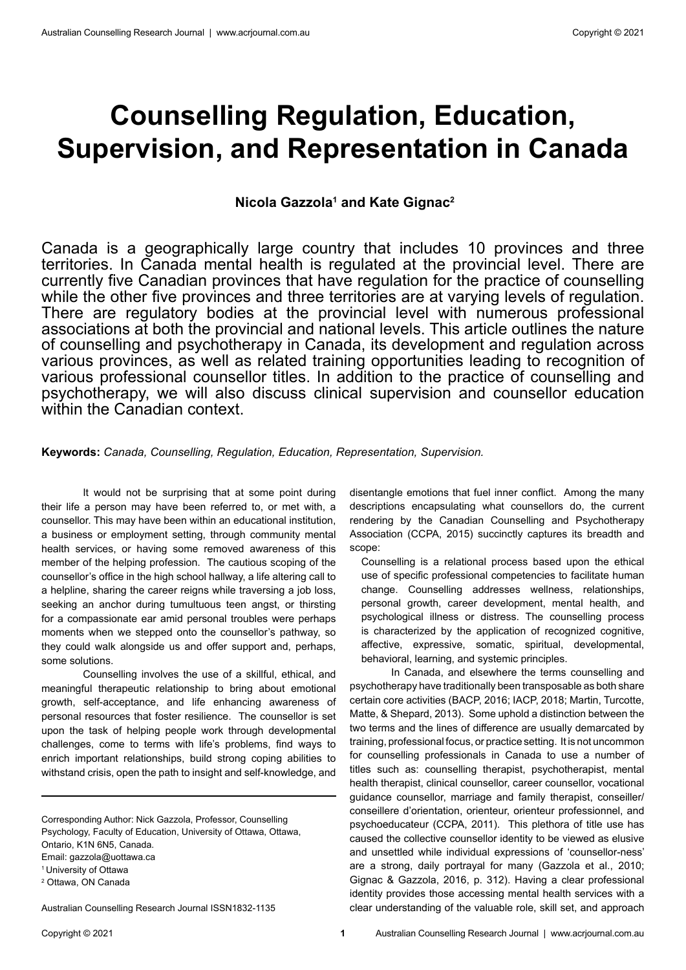# **Counselling Regulation, Education, Supervision, and Representation in Canada**

# **Nicola Gazzola1 and Kate Gignac2**

Canada is a geographically large country that includes 10 provinces and three territories. In Canada mental health is regulated at the provincial level. There are currently five Canadian provinces that have regulation for the practice of counselling while the other five provinces and three territories are at varying levels of regulation. There are regulatory bodies at the provincial level with numerous professional associations at both the provincial and national levels. This article outlines the nature of counselling and psychotherapy in Canada, its development and regulation across various provinces, as well as related training opportunities leading to recognition of various professional counsellor titles. In addition to the practice of counselling and psychotherapy, we will also discuss clinical supervision and counsellor education within the Canadian context.

**Keywords:** *Canada, Counselling, Regulation, Education, Representation, Supervision.* 

It would not be surprising that at some point during their life a person may have been referred to, or met with, a counsellor. This may have been within an educational institution, a business or employment setting, through community mental health services, or having some removed awareness of this member of the helping profession. The cautious scoping of the counsellor's office in the high school hallway, a life altering call to a helpline, sharing the career reigns while traversing a job loss, seeking an anchor during tumultuous teen angst, or thirsting for a compassionate ear amid personal troubles were perhaps moments when we stepped onto the counsellor's pathway, so they could walk alongside us and offer support and, perhaps, some solutions.

Counselling involves the use of a skillful, ethical, and meaningful therapeutic relationship to bring about emotional growth, self-acceptance, and life enhancing awareness of personal resources that foster resilience. The counsellor is set upon the task of helping people work through developmental challenges, come to terms with life's problems, find ways to enrich important relationships, build strong coping abilities to withstand crisis, open the path to insight and self-knowledge, and

Corresponding Author: Nick Gazzola, Professor, Counselling Psychology, Faculty of Education, University of Ottawa, Ottawa, Ontario, K1N 6N5, Canada. Email: gazzola@uottawa.ca <sup>1</sup>University of Ottawa 2 Ottawa, ON Canada

Australian Counselling Research Journal ISSN1832-1135

disentangle emotions that fuel inner conflict. Among the many descriptions encapsulating what counsellors do, the current rendering by the Canadian Counselling and Psychotherapy Association (CCPA, 2015) succinctly captures its breadth and scope:

Counselling is a relational process based upon the ethical use of specific professional competencies to facilitate human change. Counselling addresses wellness, relationships, personal growth, career development, mental health, and psychological illness or distress. The counselling process is characterized by the application of recognized cognitive, affective, expressive, somatic, spiritual, developmental, behavioral, learning, and systemic principles.

In Canada, and elsewhere the terms counselling and psychotherapy have traditionally been transposable as both share certain core activities (BACP, 2016; IACP, 2018; Martin, Turcotte, Matte, & Shepard, 2013). Some uphold a distinction between the two terms and the lines of difference are usually demarcated by training, professional focus, or practice setting. It is not uncommon for counselling professionals in Canada to use a number of titles such as: counselling therapist, psychotherapist, mental health therapist, clinical counsellor, career counsellor, vocational guidance counsellor, marriage and family therapist, conseiller/ conseillere d'orientation, orienteur, orienteur professionnel, and psychoeducateur (CCPA, 2011). This plethora of title use has caused the collective counsellor identity to be viewed as elusive and unsettled while individual expressions of 'counsellor-ness' are a strong, daily portrayal for many (Gazzola et al., 2010; Gignac & Gazzola, 2016, p. 312). Having a clear professional identity provides those accessing mental health services with a clear understanding of the valuable role, skill set, and approach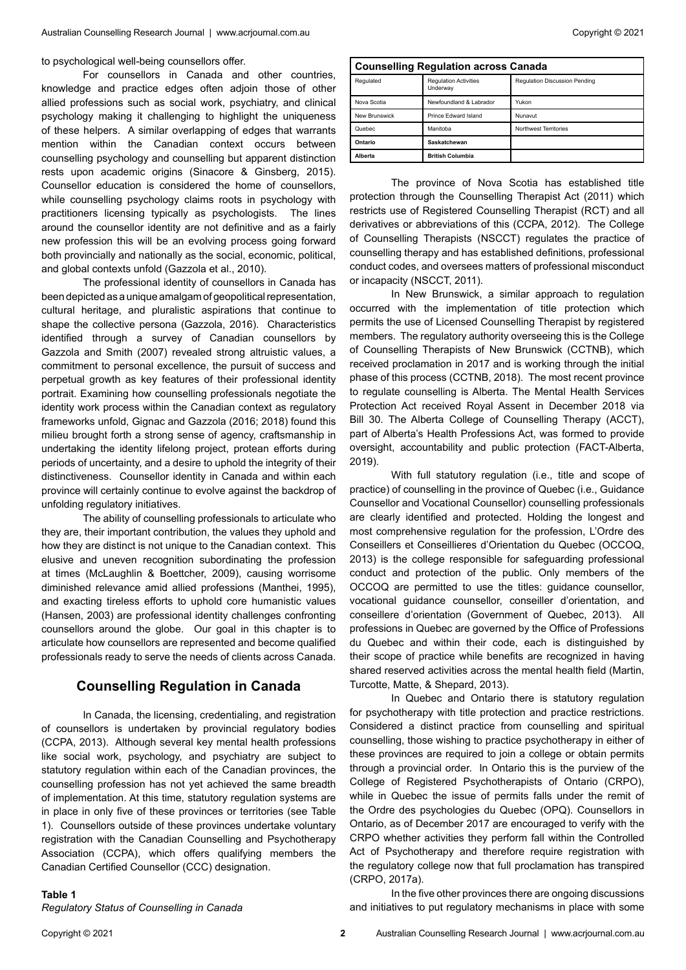to psychological well-being counsellors offer.

For counsellors in Canada and other countries, knowledge and practice edges often adjoin those of other allied professions such as social work, psychiatry, and clinical psychology making it challenging to highlight the uniqueness of these helpers. A similar overlapping of edges that warrants mention within the Canadian context occurs between counselling psychology and counselling but apparent distinction rests upon academic origins (Sinacore & Ginsberg, 2015). Counsellor education is considered the home of counsellors, while counselling psychology claims roots in psychology with practitioners licensing typically as psychologists. The lines around the counsellor identity are not definitive and as a fairly new profession this will be an evolving process going forward both provincially and nationally as the social, economic, political, and global contexts unfold (Gazzola et al., 2010).

The professional identity of counsellors in Canada has been depicted as a unique amalgam of geopolitical representation, cultural heritage, and pluralistic aspirations that continue to shape the collective persona (Gazzola, 2016). Characteristics identified through a survey of Canadian counsellors by Gazzola and Smith (2007) revealed strong altruistic values, a commitment to personal excellence, the pursuit of success and perpetual growth as key features of their professional identity portrait. Examining how counselling professionals negotiate the identity work process within the Canadian context as regulatory frameworks unfold, Gignac and Gazzola (2016; 2018) found this milieu brought forth a strong sense of agency, craftsmanship in undertaking the identity lifelong project, protean efforts during periods of uncertainty, and a desire to uphold the integrity of their distinctiveness. Counsellor identity in Canada and within each province will certainly continue to evolve against the backdrop of unfolding regulatory initiatives.

The ability of counselling professionals to articulate who they are, their important contribution, the values they uphold and how they are distinct is not unique to the Canadian context. This elusive and uneven recognition subordinating the profession at times (McLaughlin & Boettcher, 2009), causing worrisome diminished relevance amid allied professions (Manthei, 1995), and exacting tireless efforts to uphold core humanistic values (Hansen, 2003) are professional identity challenges confronting counsellors around the globe. Our goal in this chapter is to articulate how counsellors are represented and become qualified professionals ready to serve the needs of clients across Canada.

### **Counselling Regulation in Canada**

In Canada, the licensing, credentialing, and registration of counsellors is undertaken by provincial regulatory bodies (CCPA, 2013). Although several key mental health professions like social work, psychology, and psychiatry are subject to statutory regulation within each of the Canadian provinces, the counselling profession has not yet achieved the same breadth of implementation. At this time, statutory regulation systems are in place in only five of these provinces or territories (see Table 1). Counsellors outside of these provinces undertake voluntary registration with the Canadian Counselling and Psychotherapy Association (CCPA), which offers qualifying members the Canadian Certified Counsellor (CCC) designation.

### **Counselling Regulation across Canada** Regulated Regulation Activities Underway Regulation Discussion Pending Nova Scotia Newfoundland & Labrador Yukon New Brunswick Prince Edward Island Nunavut Quebec **Manitoba** Manitoba Northwest Territories **Ontario Saskatchewan Alberta British Columbia**

The province of Nova Scotia has established title protection through the Counselling Therapist Act (2011) which restricts use of Registered Counselling Therapist (RCT) and all derivatives or abbreviations of this (CCPA, 2012). The College of Counselling Therapists (NSCCT) regulates the practice of counselling therapy and has established definitions, professional conduct codes, and oversees matters of professional misconduct or incapacity (NSCCT, 2011).

In New Brunswick, a similar approach to regulation occurred with the implementation of title protection which permits the use of Licensed Counselling Therapist by registered members. The regulatory authority overseeing this is the College of Counselling Therapists of New Brunswick (CCTNB), which received proclamation in 2017 and is working through the initial phase of this process (CCTNB, 2018). The most recent province to regulate counselling is Alberta. The Mental Health Services Protection Act received Royal Assent in December 2018 via Bill 30. The Alberta College of Counselling Therapy (ACCT), part of Alberta's Health Professions Act, was formed to provide oversight, accountability and public protection (FACT-Alberta, 2019).

With full statutory regulation (i.e., title and scope of practice) of counselling in the province of Quebec (i.e., Guidance Counsellor and Vocational Counsellor) counselling professionals are clearly identified and protected. Holding the longest and most comprehensive regulation for the profession, L'Ordre des Conseillers et Conseillieres d'Orientation du Quebec (OCCOQ, 2013) is the college responsible for safeguarding professional conduct and protection of the public. Only members of the OCCOQ are permitted to use the titles: guidance counsellor, vocational guidance counsellor, conseiller d'orientation, and conseillere d'orientation (Government of Quebec, 2013). All professions in Quebec are governed by the Office of Professions du Quebec and within their code, each is distinguished by their scope of practice while benefits are recognized in having shared reserved activities across the mental health field (Martin, Turcotte, Matte, & Shepard, 2013).

In Quebec and Ontario there is statutory regulation for psychotherapy with title protection and practice restrictions. Considered a distinct practice from counselling and spiritual counselling, those wishing to practice psychotherapy in either of these provinces are required to join a college or obtain permits through a provincial order. In Ontario this is the purview of the College of Registered Psychotherapists of Ontario (CRPO), while in Quebec the issue of permits falls under the remit of the Ordre des psychologies du Quebec (OPQ). Counsellors in Ontario, as of December 2017 are encouraged to verify with the CRPO whether activities they perform fall within the Controlled Act of Psychotherapy and therefore require registration with the regulatory college now that full proclamation has transpired (CRPO, 2017a).

In the five other provinces there are ongoing discussions and initiatives to put regulatory mechanisms in place with some

*Regulatory Status of Counselling in Canada*

**Table 1**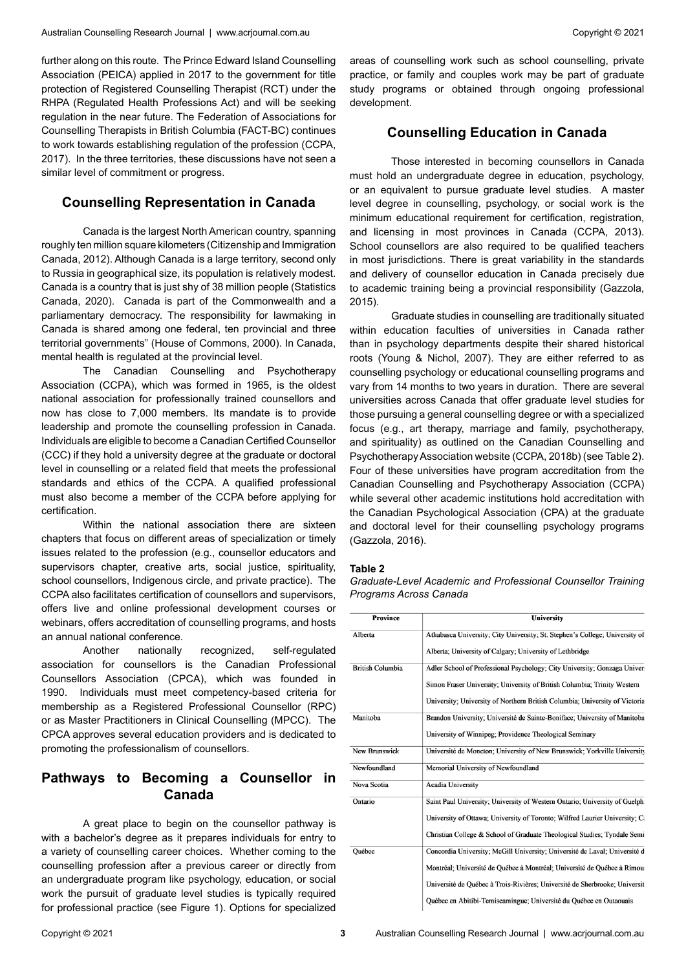further along on this route. The Prince Edward Island Counselling Association (PEICA) applied in 2017 to the government for title protection of Registered Counselling Therapist (RCT) under the RHPA (Regulated Health Professions Act) and will be seeking regulation in the near future. The Federation of Associations for Counselling Therapists in British Columbia (FACT-BC) continues to work towards establishing regulation of the profession (CCPA, 2017). In the three territories, these discussions have not seen a similar level of commitment or progress.

### **Counselling Representation in Canada**

Canada is the largest North American country, spanning roughly ten million square kilometers (Citizenship and Immigration Canada, 2012). Although Canada is a large territory, second only to Russia in geographical size, its population is relatively modest. Canada is a country that is just shy of 38 million people (Statistics Canada, 2020). Canada is part of the Commonwealth and a parliamentary democracy. The responsibility for lawmaking in Canada is shared among one federal, ten provincial and three territorial governments" (House of Commons, 2000). In Canada, mental health is regulated at the provincial level.

The Canadian Counselling and Psychotherapy Association (CCPA), which was formed in 1965, is the oldest national association for professionally trained counsellors and now has close to 7,000 members. Its mandate is to provide leadership and promote the counselling profession in Canada. Individuals are eligible to become a Canadian Certified Counsellor (CCC) if they hold a university degree at the graduate or doctoral level in counselling or a related field that meets the professional standards and ethics of the CCPA. A qualified professional must also become a member of the CCPA before applying for certification.

Within the national association there are sixteen chapters that focus on different areas of specialization or timely issues related to the profession (e.g., counsellor educators and supervisors chapter, creative arts, social justice, spirituality, school counsellors, Indigenous circle, and private practice). The CCPA also facilitates certification of counsellors and supervisors, offers live and online professional development courses or webinars, offers accreditation of counselling programs, and hosts an annual national conference.

Another nationally recognized, self-regulated association for counsellors is the Canadian Professional Counsellors Association (CPCA), which was founded in 1990. Individuals must meet competency-based criteria for membership as a Registered Professional Counsellor (RPC) or as Master Practitioners in Clinical Counselling (MPCC). The CPCA approves several education providers and is dedicated to promoting the professionalism of counsellors.

# **Pathways to Becoming a Counsellor in Canada**

A great place to begin on the counsellor pathway is with a bachelor's degree as it prepares individuals for entry to a variety of counselling career choices. Whether coming to the counselling profession after a previous career or directly from an undergraduate program like psychology, education, or social work the pursuit of graduate level studies is typically required for professional practice (see Figure 1). Options for specialized

areas of counselling work such as school counselling, private practice, or family and couples work may be part of graduate study programs or obtained through ongoing professional development.

# **Counselling Education in Canada**

Those interested in becoming counsellors in Canada must hold an undergraduate degree in education, psychology, or an equivalent to pursue graduate level studies. A master level degree in counselling, psychology, or social work is the minimum educational requirement for certification, registration, and licensing in most provinces in Canada (CCPA, 2013). School counsellors are also required to be qualified teachers in most jurisdictions. There is great variability in the standards and delivery of counsellor education in Canada precisely due to academic training being a provincial responsibility (Gazzola, 2015).

Graduate studies in counselling are traditionally situated within education faculties of universities in Canada rather than in psychology departments despite their shared historical roots (Young & Nichol, 2007). They are either referred to as counselling psychology or educational counselling programs and vary from 14 months to two years in duration. There are several universities across Canada that offer graduate level studies for those pursuing a general counselling degree or with a specialized focus (e.g., art therapy, marriage and family, psychotherapy, and spirituality) as outlined on the Canadian Counselling and Psychotherapy Association website (CCPA, 2018b) (see Table 2). Four of these universities have program accreditation from the Canadian Counselling and Psychotherapy Association (CCPA) while several other academic institutions hold accreditation with the Canadian Psychological Association (CPA) at the graduate and doctoral level for their counselling psychology programs (Gazzola, 2016).

### **Table 2**

| Graduate-Level Academic and Professional Counsellor Training |  |  |
|--------------------------------------------------------------|--|--|
| Programs Across Canada                                       |  |  |

| <b>Province</b>         | <b>University</b>                                                            |
|-------------------------|------------------------------------------------------------------------------|
| Alberta                 | Athabasca University; City University; St. Stephen's College; University of  |
|                         | Alberta; University of Calgary; University of Lethbridge                     |
| <b>British Columbia</b> | Adler School of Professional Psychology; City University; Gonzaga University |
|                         | Simon Fraser University: University of British Columbia: Trinity Western     |
|                         | University; University of Northern British Columbia; University of Victoria  |
| Manitoba                | Brandon University; Université de Sainte-Boniface; University of Manitoba    |
|                         | University of Winnipeg; Providence Theological Seminary                      |
| New Brunswick           | Université de Moncton; University of New Brunswick; Yorkville University     |
| Newfoundland            | Memorial University of Newfoundland                                          |
| Nova Scotia             | Acadia University                                                            |
| Ontario                 | Saint Paul University; University of Western Ontario; University of Guelph:  |
|                         | University of Ottawa; University of Toronto; Wilfred Laurier University; Ca  |
|                         | Christian College & School of Graduate Theological Studies; Tyndale Semi     |
| Ouébec                  | Concordia University; McGill University; Université de Laval; Université d   |
|                         | Montréal; Université de Québec à Montréal; Université de Québec à Rimou:     |
|                         | Université de Québec à Trois-Rivières; Université de Sherbrooke; Universit   |
|                         | Québec en Abitibi-Temiscamingue; Université du Québec en Outaouais           |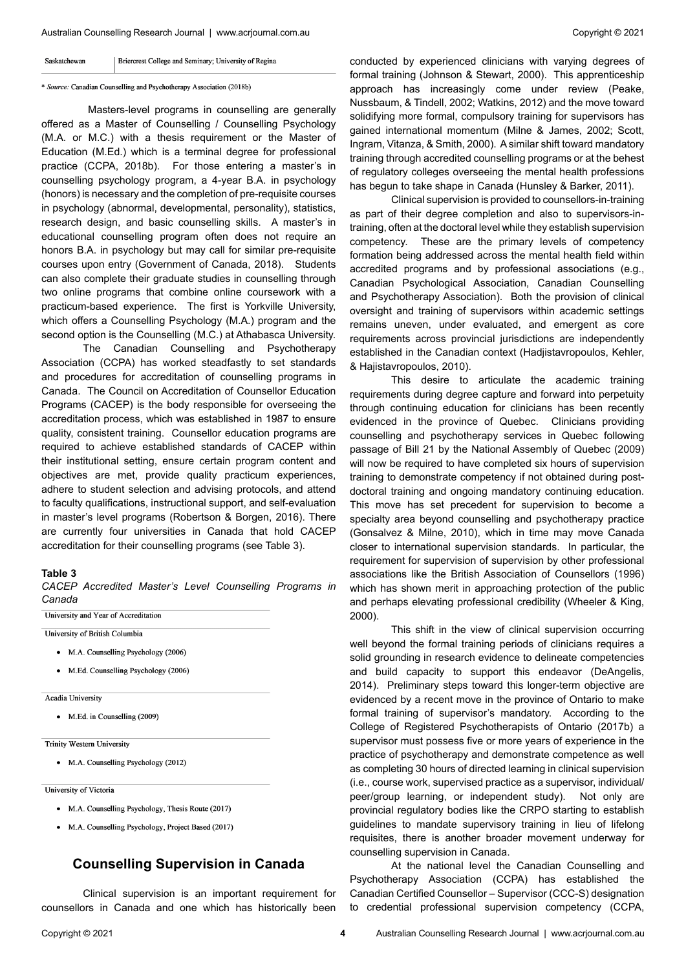#### Saskatchewan Briercrest College and Seminary; University of Regina

### \* Source: Canadian Counselling and Psychotherapy Association (2018b)

 Masters-level programs in counselling are generally offered as a Master of Counselling / Counselling Psychology (M.A. or M.C.) with a thesis requirement or the Master of Education (M.Ed.) which is a terminal degree for professional practice (CCPA, 2018b). For those entering a master's in counselling psychology program, a 4-year B.A. in psychology (honors) is necessary and the completion of pre-requisite courses in psychology (abnormal, developmental, personality), statistics, research design, and basic counselling skills. A master's in educational counselling program often does not require an honors B.A. in psychology but may call for similar pre-requisite courses upon entry (Government of Canada, 2018). Students can also complete their graduate studies in counselling through two online programs that combine online coursework with a practicum-based experience. The first is Yorkville University, which offers a Counselling Psychology (M.A.) program and the second option is the Counselling (M.C.) at Athabasca University.

The Canadian Counselling and Psychotherapy Association (CCPA) has worked steadfastly to set standards and procedures for accreditation of counselling programs in Canada. The Council on Accreditation of Counsellor Education Programs (CACEP) is the body responsible for overseeing the accreditation process, which was established in 1987 to ensure quality, consistent training. Counsellor education programs are required to achieve established standards of CACEP within their institutional setting, ensure certain program content and objectives are met, provide quality practicum experiences, adhere to student selection and advising protocols, and attend to faculty qualifications, instructional support, and self-evaluation in master's level programs (Robertson & Borgen, 2016). There are currently four universities in Canada that hold CACEP accreditation for their counselling programs (see Table 3).

### **Table 3**

*CACEP Accredited Master's Level Counselling Programs in Canada*

University and Year of Accreditation

University of British Columbia

- M.A. Counselling Psychology (2006)
- M.Ed. Counselling Psychology (2006)

**Acadia University** 

• M.Ed. in Counselling (2009)

**Trinity Western University** 

• M.A. Counselling Psychology (2012)

University of Victoria

- M.A. Counselling Psychology, Thesis Route (2017)
- M.A. Counselling Psychology, Project Based (2017)

## **Counselling Supervision in Canada**

Clinical supervision is an important requirement for counsellors in Canada and one which has historically been

Clinical supervision is provided to counsellors-in-training as part of their degree completion and also to supervisors-intraining, often at the doctoral level while they establish supervision competency. These are the primary levels of competency formation being addressed across the mental health field within accredited programs and by professional associations (e.g., Canadian Psychological Association, Canadian Counselling and Psychotherapy Association). Both the provision of clinical oversight and training of supervisors within academic settings remains uneven, under evaluated, and emergent as core requirements across provincial jurisdictions are independently established in the Canadian context (Hadjistavropoulos, Kehler, & Hajistavropoulos, 2010).

This desire to articulate the academic training requirements during degree capture and forward into perpetuity through continuing education for clinicians has been recently evidenced in the province of Quebec. Clinicians providing counselling and psychotherapy services in Quebec following passage of Bill 21 by the National Assembly of Quebec (2009) will now be required to have completed six hours of supervision training to demonstrate competency if not obtained during postdoctoral training and ongoing mandatory continuing education. This move has set precedent for supervision to become a specialty area beyond counselling and psychotherapy practice (Gonsalvez & Milne, 2010), which in time may move Canada closer to international supervision standards. In particular, the requirement for supervision of supervision by other professional associations like the British Association of Counsellors (1996) which has shown merit in approaching protection of the public and perhaps elevating professional credibility (Wheeler & King, 2000).

This shift in the view of clinical supervision occurring well beyond the formal training periods of clinicians requires a solid grounding in research evidence to delineate competencies and build capacity to support this endeavor (DeAngelis, 2014). Preliminary steps toward this longer-term objective are evidenced by a recent move in the province of Ontario to make formal training of supervisor's mandatory. According to the College of Registered Psychotherapists of Ontario (2017b) a supervisor must possess five or more years of experience in the practice of psychotherapy and demonstrate competence as well as completing 30 hours of directed learning in clinical supervision (i.e., course work, supervised practice as a supervisor, individual/ peer/group learning, or independent study). Not only are provincial regulatory bodies like the CRPO starting to establish guidelines to mandate supervisory training in lieu of lifelong requisites, there is another broader movement underway for counselling supervision in Canada.

At the national level the Canadian Counselling and Psychotherapy Association (CCPA) has established the Canadian Certified Counsellor – Supervisor (CCC-S) designation to credential professional supervision competency (CCPA,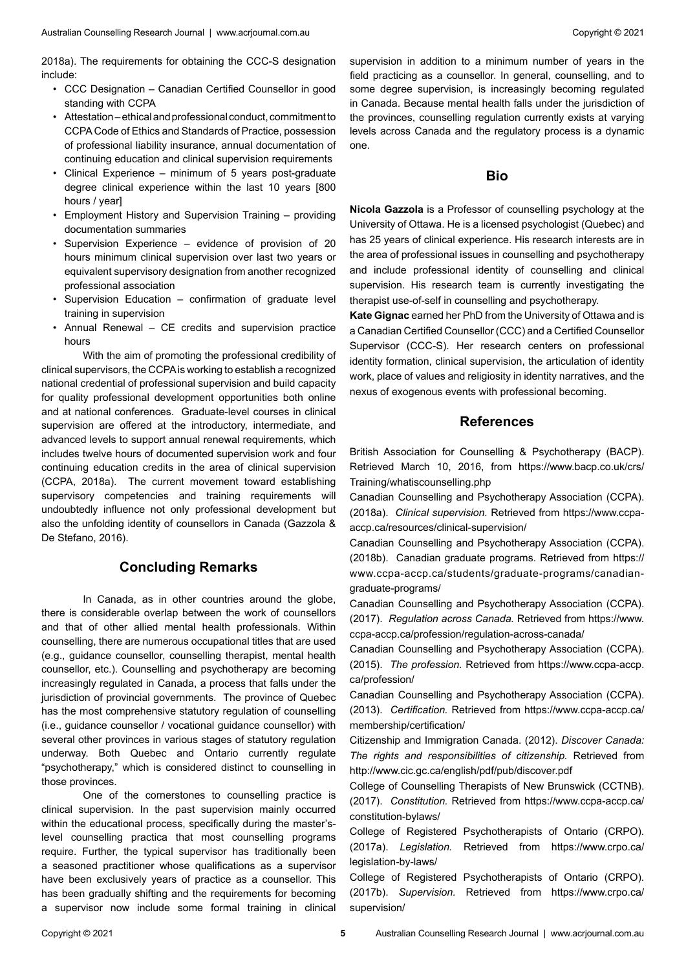2018a). The requirements for obtaining the CCC-S designation include:

- CCC Designation Canadian Certified Counsellor in good standing with CCPA
- Attestation ethical and professional conduct, commitment to CCPA Code of Ethics and Standards of Practice, possession of professional liability insurance, annual documentation of continuing education and clinical supervision requirements
- Clinical Experience minimum of 5 years post-graduate degree clinical experience within the last 10 years [800 hours / year]
- Employment History and Supervision Training providing documentation summaries
- Supervision Experience evidence of provision of 20 hours minimum clinical supervision over last two years or equivalent supervisory designation from another recognized professional association
- Supervision Education confirmation of graduate level training in supervision
- Annual Renewal CE credits and supervision practice hours

With the aim of promoting the professional credibility of clinical supervisors, the CCPA is working to establish a recognized national credential of professional supervision and build capacity for quality professional development opportunities both online and at national conferences. Graduate-level courses in clinical supervision are offered at the introductory, intermediate, and advanced levels to support annual renewal requirements, which includes twelve hours of documented supervision work and four continuing education credits in the area of clinical supervision (CCPA, 2018a). The current movement toward establishing supervisory competencies and training requirements will undoubtedly influence not only professional development but also the unfolding identity of counsellors in Canada (Gazzola & De Stefano, 2016).

### **Concluding Remarks**

In Canada, as in other countries around the globe, there is considerable overlap between the work of counsellors and that of other allied mental health professionals. Within counselling, there are numerous occupational titles that are used (e.g., guidance counsellor, counselling therapist, mental health counsellor, etc.). Counselling and psychotherapy are becoming increasingly regulated in Canada, a process that falls under the jurisdiction of provincial governments. The province of Quebec has the most comprehensive statutory regulation of counselling (i.e., guidance counsellor / vocational guidance counsellor) with several other provinces in various stages of statutory regulation underway. Both Quebec and Ontario currently regulate "psychotherapy," which is considered distinct to counselling in those provinces.

One of the cornerstones to counselling practice is clinical supervision. In the past supervision mainly occurred within the educational process, specifically during the master'slevel counselling practica that most counselling programs require. Further, the typical supervisor has traditionally been a seasoned practitioner whose qualifications as a supervisor have been exclusively years of practice as a counsellor. This has been gradually shifting and the requirements for becoming a supervisor now include some formal training in clinical

supervision in addition to a minimum number of years in the field practicing as a counsellor. In general, counselling, and to some degree supervision, is increasingly becoming regulated in Canada. Because mental health falls under the jurisdiction of the provinces, counselling regulation currently exists at varying levels across Canada and the regulatory process is a dynamic one.

### **Bio**

**Nicola Gazzola** is a Professor of counselling psychology at the University of Ottawa. He is a licensed psychologist (Quebec) and has 25 years of clinical experience. His research interests are in the area of professional issues in counselling and psychotherapy and include professional identity of counselling and clinical supervision. His research team is currently investigating the therapist use-of-self in counselling and psychotherapy.

**Kate Gignac** earned her PhD from the University of Ottawa and is a Canadian Certified Counsellor (CCC) and a Certified Counsellor Supervisor (CCC-S). Her research centers on professional identity formation, clinical supervision, the articulation of identity work, place of values and religiosity in identity narratives, and the nexus of exogenous events with professional becoming.

### **References**

British Association for Counselling & Psychotherapy (BACP). Retrieved March 10, 2016, from https://www.bacp.co.uk/crs/ Training/whatiscounselling.php

Canadian Counselling and Psychotherapy Association (CCPA). (2018a). *Clinical supervision.* Retrieved from https://www.ccpaaccp.ca/resources/clinical-supervision/

Canadian Counselling and Psychotherapy Association (CCPA). (2018b). Canadian graduate programs. Retrieved from https:// www.ccpa-accp.ca/students/graduate-programs/canadiangraduate-programs/

Canadian Counselling and Psychotherapy Association (CCPA). (2017). *Regulation across Canada.* Retrieved from https://www. ccpa-accp.ca/profession/regulation-across-canada/

Canadian Counselling and Psychotherapy Association (CCPA). (2015). *The profession.* Retrieved from https://www.ccpa-accp. ca/profession/

Canadian Counselling and Psychotherapy Association (CCPA). (2013). *Certification.* Retrieved from https://www.ccpa-accp.ca/ membership/certification/

Citizenship and Immigration Canada. (2012). *Discover Canada: The rights and responsibilities of citizenship.* Retrieved from http://www.cic.gc.ca/english/pdf/pub/discover.pdf

College of Counselling Therapists of New Brunswick (CCTNB). (2017). *Constitution.* Retrieved from https://www.ccpa-accp.ca/ constitution-bylaws/

College of Registered Psychotherapists of Ontario (CRPO). (2017a). *Legislation.* Retrieved from https://www.crpo.ca/ legislation-by-laws/

College of Registered Psychotherapists of Ontario (CRPO). (2017b). *Supervision.* Retrieved from https://www.crpo.ca/ supervision/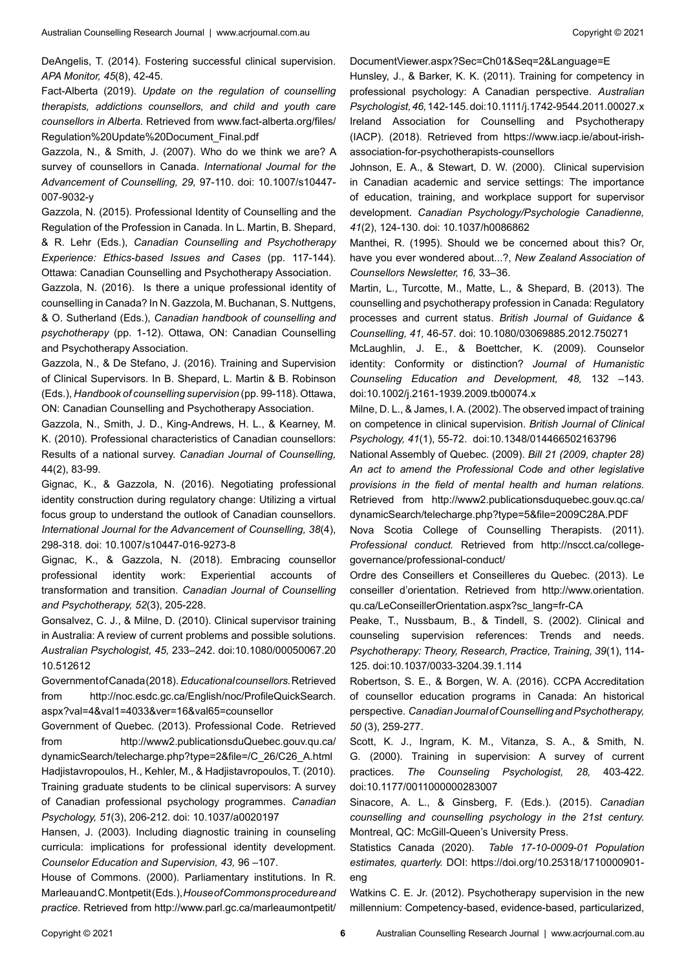DeAngelis, T. (2014). Fostering successful clinical supervision. *APA Monitor, 45*(8), 42-45.

Fact-Alberta (2019). *Update on the regulation of counselling therapists, addictions counsellors, and child and youth care counsellors in Alberta.* Retrieved from www.fact-alberta.org/files/ Regulation%20Update%20Document\_Final.pdf

Gazzola, N., & Smith, J. (2007). Who do we think we are? A survey of counsellors in Canada. *International Journal for the Advancement of Counselling, 29,* 97-110. doi: 10.1007/s10447- 007-9032-y

Gazzola, N. (2015). Professional Identity of Counselling and the Regulation of the Profession in Canada. In L. Martin, B. Shepard, & R. Lehr (Eds.), *Canadian Counselling and Psychotherapy Experience: Ethics-based Issues and Cases* (pp. 117-144). Ottawa: Canadian Counselling and Psychotherapy Association.

Gazzola, N. (2016). Is there a unique professional identity of counselling in Canada? In N. Gazzola, M. Buchanan, S. Nuttgens, & O. Sutherland (Eds.), *Canadian handbook of counselling and psychotherapy* (pp. 1-12). Ottawa, ON: Canadian Counselling and Psychotherapy Association.

Gazzola, N., & De Stefano, J. (2016). Training and Supervision of Clinical Supervisors. In B. Shepard, L. Martin & B. Robinson (Eds.), *Handbook of counselling supervision* (pp. 99-118). Ottawa, ON: Canadian Counselling and Psychotherapy Association.

Gazzola, N., Smith, J. D., King-Andrews, H. L., & Kearney, M. K. (2010). Professional characteristics of Canadian counsellors: Results of a national survey. *Canadian Journal of Counselling,* 44(2), 83-99.

Gignac, K., & Gazzola, N. (2016). Negotiating professional identity construction during regulatory change: Utilizing a virtual focus group to understand the outlook of Canadian counsellors. *International Journal for the Advancement of Counselling, 38*(4), 298-318. doi: 10.1007/s10447-016-9273-8

Gignac, K., & Gazzola, N. (2018). Embracing counsellor professional identity work: Experiential accounts of transformation and transition. *Canadian Journal of Counselling and Psychotherapy, 52*(3), 205-228.

Gonsalvez, C. J., & Milne, D. (2010). Clinical supervisor training in Australia: A review of current problems and possible solutions. *Australian Psychologist, 45,* 233–242. doi:10.1080/00050067.20 10.512612

Government of Canada (2018). *Educational counsellors.* Retrieved from http://noc.esdc.gc.ca/English/noc/ProfileQuickSearch. aspx?val=4&val1=4033&ver=16&val65=counsellor

Government of Quebec. (2013). Professional Code. Retrieved from http://www2.publicationsduQuebec.gouv.qu.ca/ dynamicSearch/telecharge.php?type=2&file=/C\_26/C26\_A.html Hadjistavropoulos, H., Kehler, M., & Hadjistavropoulos, T. (2010). Training graduate students to be clinical supervisors: A survey of Canadian professional psychology programmes. *Canadian Psychology, 51*(3), 206-212. doi: 10.1037/a0020197

Hansen, J. (2003). Including diagnostic training in counseling curricula: implications for professional identity development. *Counselor Education and Supervision, 43,* 96 –107.

House of Commons. (2000). Parliamentary institutions. In R. Marleau and C. Montpetit (Eds.), *House of Commons procedure and practice.* Retrieved from http://www.parl.gc.ca/marleaumontpetit/ DocumentViewer.aspx?Sec=Ch01&Seq=2&Language=E

Hunsley, J., & Barker, K. K. (2011). Training for competency in professional psychology: A Canadian perspective. *Australian Psychologist, 46,* 142-145. doi:10.1111/j.1742-9544.2011.00027.x Ireland Association for Counselling and Psychotherapy (IACP). (2018). Retrieved from https://www.iacp.ie/about-irishassociation-for-psychotherapists-counsellors

Johnson, E. A., & Stewart, D. W. (2000). Clinical supervision in Canadian academic and service settings: The importance of education, training, and workplace support for supervisor development. *Canadian Psychology/Psychologie Canadienne, 41*(2), 124-130. doi: 10.1037/h0086862

Manthei, R. (1995). Should we be concerned about this? Or, have you ever wondered about...?, *New Zealand Association of Counsellors Newsletter, 16,* 33–36.

Martin, L., Turcotte, M., Matte, L., & Shepard, B. (2013). The counselling and psychotherapy profession in Canada: Regulatory processes and current status. *British Journal of Guidance & Counselling, 41,* 46-57. doi: 10.1080/03069885.2012.750271

McLaughlin, J. E., & Boettcher, K. (2009). Counselor identity: Conformity or distinction? *Journal of Humanistic Counseling Education and Development, 48,* 132 –143. doi:10.1002/j.2161-1939.2009.tb00074.x

Milne, D. L., & James, I. A. (2002). The observed impact of training on competence in clinical supervision. *British Journal of Clinical Psychology, 41*(1), 55-72. doi:10.1348/014466502163796

National Assembly of Quebec. (2009). *Bill 21 (2009, chapter 28) An act to amend the Professional Code and other legislative provisions in the field of mental health and human relations.*  Retrieved from http://www2.publicationsduquebec.gouv.qc.ca/ dynamicSearch/telecharge.php?type=5&file=2009C28A.PDF

Nova Scotia College of Counselling Therapists. (2011). *Professional conduct.* Retrieved from http://nscct.ca/collegegovernance/professional-conduct/

Ordre des Conseillers et Conseilleres du Quebec. (2013). Le conseiller d'orientation. Retrieved from http://www.orientation. qu.ca/LeConseillerOrientation.aspx?sc\_lang=fr-CA

Peake, T., Nussbaum, B., & Tindell, S. (2002). Clinical and counseling supervision references: Trends and needs. *Psychotherapy: Theory, Research, Practice, Training, 39*(1), 114- 125. doi:10.1037/0033-3204.39.1.114

Robertson, S. E., & Borgen, W. A. (2016). CCPA Accreditation of counsellor education programs in Canada: An historical perspective. *Canadian Journal of Counselling and Psychotherapy, 50* (3), 259-277.

Scott, K. J., Ingram, K. M., Vitanza, S. A., & Smith, N. G. (2000). Training in supervision: A survey of current practices. *The Counseling Psychologist, 28,* 403-422. doi:10.1177/0011000000283007

Sinacore, A. L., & Ginsberg, F. (Eds.). (2015). *Canadian counselling and counselling psychology in the 21st century.*  Montreal, QC: McGill-Queen's University Press.

Statistics Canada (2020). *Table 17-10-0009-01 Population estimates, quarterly.* DOI: https://doi.org/10.25318/1710000901 eng

Watkins C. E. Jr. (2012). Psychotherapy supervision in the new millennium: Competency-based, evidence-based, particularized,